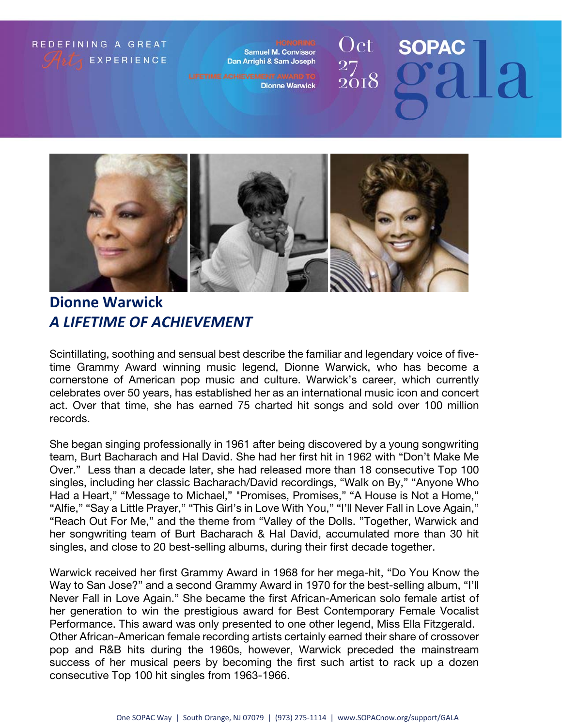### REDEFINING A GREAT **EXPERIENCE**

**Samuel M. Convissor** Dan Arrighi & Sam Joseph

**Dionne Warwick** 

### Oct **SOPAC**  $\frac{27}{2018}$



**Dionne Warwick** *A LIFETIME OF ACHIEVEMENT* 

Scintillating, soothing and sensual best describe the familiar and legendary voice of fivetime Grammy Award winning music legend, Dionne Warwick, who has become a cornerstone of American pop music and culture. Warwick's career, which currently celebrates over 50 years, has established her as an international music icon and concert act. Over that time, she has earned 75 charted hit songs and sold over 100 million records.

She began singing professionally in 1961 after being discovered by a young songwriting team, Burt Bacharach and Hal David. She had her first hit in 1962 with "Don't Make Me Over." Less than a decade later, she had released more than 18 consecutive Top 100 singles, including her classic Bacharach/David recordings, "Walk on By," "Anyone Who Had a Heart," "Message to Michael," "Promises, Promises," "A House is Not a Home," "Alfie," "Say a Little Prayer," "This Girl's in Love With You," "I'll Never Fall in Love Again," "Reach Out For Me," and the theme from "Valley of the Dolls. "Together, Warwick and her songwriting team of Burt Bacharach & Hal David, accumulated more than 30 hit singles, and close to 20 best-selling albums, during their first decade together.

Warwick received her first Grammy Award in 1968 for her mega-hit, "Do You Know the Way to San Jose?" and a second Grammy Award in 1970 for the best-selling album, "I'll Never Fall in Love Again." She became the first African-American solo female artist of her generation to win the prestigious award for Best Contemporary Female Vocalist Performance. This award was only presented to one other legend, Miss Ella Fitzgerald. Other African-American female recording artists certainly earned their share of crossover pop and R&B hits during the 1960s, however, Warwick preceded the mainstream success of her musical peers by becoming the first such artist to rack up a dozen consecutive Top 100 hit singles from 1963-1966.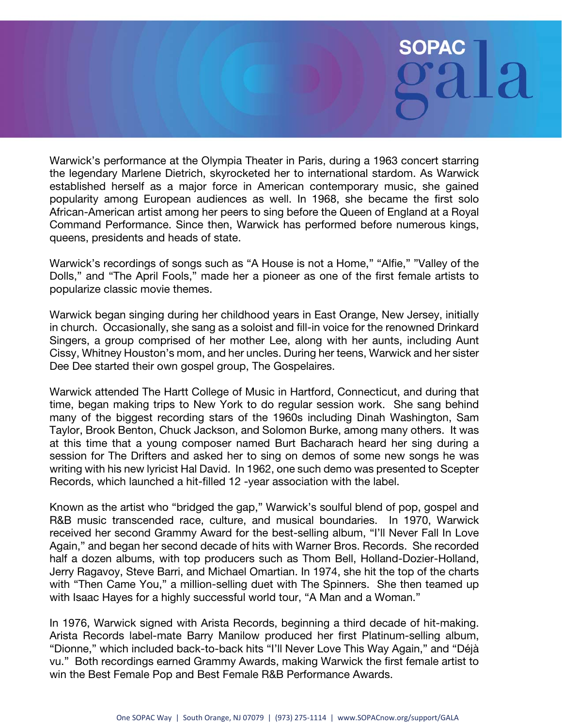# **SOPA**

Warwick's performance at the Olympia Theater in Paris, during a 1963 concert starring the legendary Marlene Dietrich, skyrocketed her to international stardom. As Warwick established herself as a major force in American contemporary music, she gained popularity among European audiences as well. In 1968, she became the first solo African-American artist among her peers to sing before the Queen of England at a Royal Command Performance. Since then, Warwick has performed before numerous kings, queens, presidents and heads of state.

Warwick's recordings of songs such as "A House is not a Home," "Alfie," "Valley of the Dolls," and "The April Fools," made her a pioneer as one of the first female artists to popularize classic movie themes.

Warwick began singing during her childhood years in East Orange, New Jersey, initially in church. Occasionally, she sang as a soloist and fill-in voice for the renowned Drinkard Singers, a group comprised of her mother Lee, along with her aunts, including Aunt Cissy, Whitney Houston's mom, and her uncles. During her teens, Warwick and her sister Dee Dee started their own gospel group, The Gospelaires.

Warwick attended The Hartt College of Music in Hartford, Connecticut, and during that time, began making trips to New York to do regular session work. She sang behind many of the biggest recording stars of the 1960s including Dinah Washington, Sam Taylor, Brook Benton, Chuck Jackson, and Solomon Burke, among many others. It was at this time that a young composer named Burt Bacharach heard her sing during a session for The Drifters and asked her to sing on demos of some new songs he was writing with his new lyricist Hal David. In 1962, one such demo was presented to Scepter Records, which launched a hit-filled 12 -year association with the label.

Known as the artist who "bridged the gap," Warwick's soulful blend of pop, gospel and R&B music transcended race, culture, and musical boundaries. In 1970, Warwick received her second Grammy Award for the best-selling album, "I'll Never Fall In Love Again," and began her second decade of hits with Warner Bros. Records. She recorded half a dozen albums, with top producers such as Thom Bell, Holland-Dozier-Holland, Jerry Ragavoy, Steve Barri, and Michael Omartian. In 1974, she hit the top of the charts with "Then Came You," a million-selling duet with The Spinners. She then teamed up with Isaac Hayes for a highly successful world tour, "A Man and a Woman."

In 1976, Warwick signed with Arista Records, beginning a third decade of hit-making. Arista Records label-mate Barry Manilow produced her first Platinum-selling album, "Dionne," which included back-to-back hits "I'll Never Love This Way Again," and "Déjà vu." Both recordings earned Grammy Awards, making Warwick the first female artist to win the Best Female Pop and Best Female R&B Performance Awards.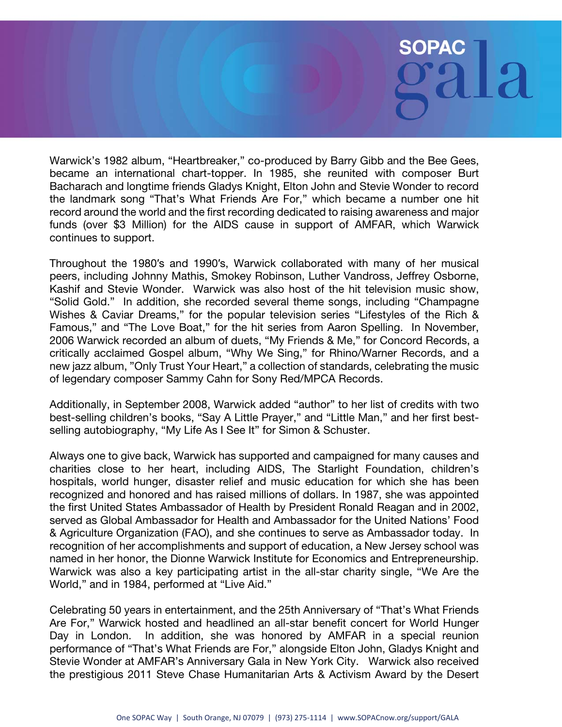# **SOPA**

Warwick's 1982 album, "Heartbreaker," co-produced by Barry Gibb and the Bee Gees, became an international chart-topper. In 1985, she reunited with composer Burt Bacharach and longtime friends Gladys Knight, Elton John and Stevie Wonder to record the landmark song "That's What Friends Are For," which became a number one hit record around the world and the first recording dedicated to raising awareness and major funds (over \$3 Million) for the AIDS cause in support of AMFAR, which Warwick continues to support.

Throughout the 1980′s and 1990′s, Warwick collaborated with many of her musical peers, including Johnny Mathis, Smokey Robinson, Luther Vandross, Jeffrey Osborne, Kashif and Stevie Wonder. Warwick was also host of the hit television music show, "Solid Gold." In addition, she recorded several theme songs, including "Champagne Wishes & Caviar Dreams," for the popular television series "Lifestyles of the Rich & Famous," and "The Love Boat," for the hit series from Aaron Spelling. In November, 2006 Warwick recorded an album of duets, "My Friends & Me," for Concord Records, a critically acclaimed Gospel album, "Why We Sing," for Rhino/Warner Records, and a new jazz album, "Only Trust Your Heart," a collection of standards, celebrating the music of legendary composer Sammy Cahn for Sony Red/MPCA Records.

Additionally, in September 2008, Warwick added "author" to her list of credits with two best-selling children's books, "Say A Little Prayer," and "Little Man," and her first bestselling autobiography, "My Life As I See It" for Simon & Schuster.

Always one to give back, Warwick has supported and campaigned for many causes and charities close to her heart, including AIDS, The Starlight Foundation, children's hospitals, world hunger, disaster relief and music education for which she has been recognized and honored and has raised millions of dollars. In 1987, she was appointed the first United States Ambassador of Health by President Ronald Reagan and in 2002, served as Global Ambassador for Health and Ambassador for the United Nations' Food & Agriculture Organization (FAO), and she continues to serve as Ambassador today. In recognition of her accomplishments and support of education, a New Jersey school was named in her honor, the Dionne Warwick Institute for Economics and Entrepreneurship. Warwick was also a key participating artist in the all-star charity single, "We Are the World," and in 1984, performed at "Live Aid."

Celebrating 50 years in entertainment, and the 25th Anniversary of "That's What Friends Are For," Warwick hosted and headlined an all-star benefit concert for World Hunger Day in London. In addition, she was honored by AMFAR in a special reunion performance of "That's What Friends are For," alongside Elton John, Gladys Knight and Stevie Wonder at AMFAR's Anniversary Gala in New York City. Warwick also received the prestigious 2011 Steve Chase Humanitarian Arts & Activism Award by the Desert